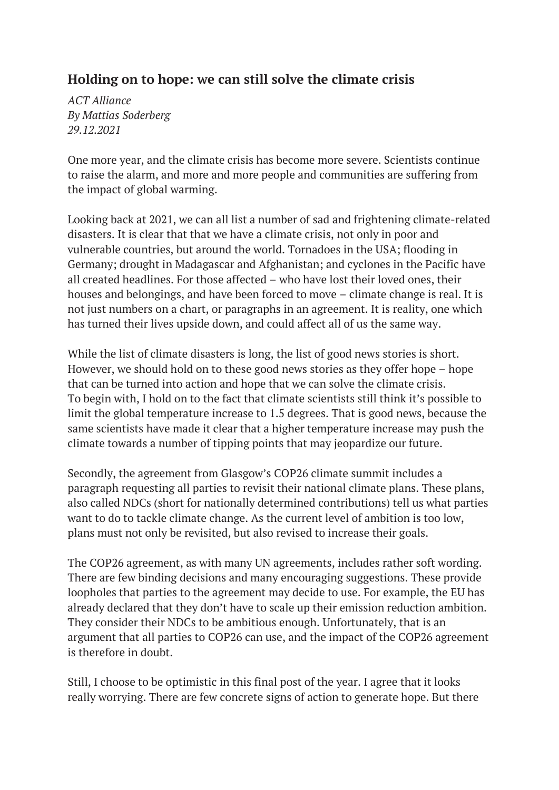## **Holding on to hope: we can still solve the climate crisis**

*ACT Alliance By Mattias Soderberg 29.12.2021*

One more year, and the climate crisis has become more severe. Scientists continue to raise the alarm, and more and more people and communities are suffering from the impact of global warming.

Looking back at 2021, we can all list a number of sad and frightening climate-related disasters. It is clear that that we have a climate crisis, not only in poor and vulnerable countries, but around the world. Tornadoes in the USA; flooding in Germany; drought in Madagascar and Afghanistan; and cyclones in the Pacific have all created headlines. For those affected – who have lost their loved ones, their houses and belongings, and have been forced to move – climate change is real. It is not just numbers on a chart, or paragraphs in an agreement. It is reality, one which has turned their lives upside down, and could affect all of us the same way.

While the list of climate disasters is long, the list of good news stories is short. However, we should hold on to these good news stories as they offer hope – hope that can be turned into action and hope that we can solve the climate crisis. To begin with, I hold on to the fact that climate scientists still think it's possible to limit the global temperature increase to 1.5 degrees. That is good news, because the same scientists have made it clear that a higher temperature increase may push the climate towards a number of tipping points that may jeopardize our future.

Secondly, the agreement from Glasgow's COP26 climate summit includes a paragraph requesting all parties to revisit their national climate plans. These plans, also called NDCs (short for nationally determined contributions) tell us what parties want to do to tackle climate change. As the current level of ambition is too low, plans must not only be revisited, but also revised to increase their goals.

The COP26 agreement, as with many UN agreements, includes rather soft wording. There are few binding decisions and many encouraging suggestions. These provide loopholes that parties to the agreement may decide to use. For example, the EU has already declared that they don't have to scale up their emission reduction ambition. They consider their NDCs to be ambitious enough. Unfortunately, that is an argument that all parties to COP26 can use, and the impact of the COP26 agreement is therefore in doubt.

Still, I choose to be optimistic in this final post of the year. I agree that it looks really worrying. There are few concrete signs of action to generate hope. But there